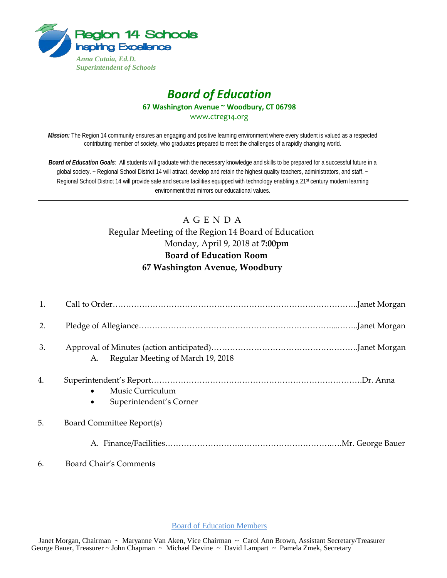

## *Board of Education* **67 Washington Avenue ~ Woodbury, CT 06798** www.ctreg14.org

*Mission:* The Region 14 community ensures an engaging and positive learning environment where every student is valued as a respected contributing member of society, who graduates prepared to meet the challenges of a rapidly changing world.

*Board of Education Goals:* All students will graduate with the necessary knowledge and skills to be prepared for a successful future in a global society. ~ Regional School District 14 will attract, develop and retain the highest quality teachers, administrators, and staff. ~ Regional School District 14 will provide safe and secure facilities equipped with technology enabling a 21<sup>st</sup> century modern learning environment that mirrors our educational values.

# A G E N D A Regular Meeting of the Region 14 Board of Education Monday, April 9, 2018 at **7:00pm Board of Education Room 67 Washington Avenue, Woodbury**

| 1. |                                                          |
|----|----------------------------------------------------------|
| 2. |                                                          |
| 3. | Regular Meeting of March 19, 2018<br>A.                  |
| 4. | Music Curriculum<br>Superintendent's Corner<br>$\bullet$ |
| 5. | Board Committee Report(s)                                |
|    |                                                          |
| 6. | Board Chair's Comments                                   |

Board of Education Members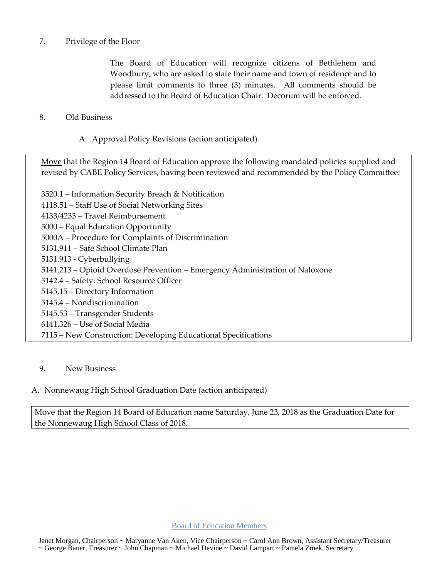## 7. Privilege of the Floor

The Board of Education will recognize citizens of Bethlehem and Woodbury, who are asked to state their name and town of residence and to please limit comments to three (3) minutes. All comments should be addressed to the Board of Education Chair. Decorum will be enforced.

## 8. Old Business

A. Approval Policy Revisions (action anticipated)

Move that the Region 14 Board of Education approve the following mandated policies supplied and revised by CABE Policy Services, having been reviewed and recommended by the Policy Committee:

3520.1 – Information Security Breach & Notification 4118.51 – Staff Use of Social Networking Sites 4133/4233 – Travel Reimbursement 5000 – Equal Education Opportunity 5000A – Procedure for Complaints of Discrimination 5131.911 – Safe School Climate Plan 5131.913 - Cyberbullying 5141.213 – Opioid Overdose Prevention – Emergency Administration of Naloxone 5142.4 – Safety: School Resource Officer 5145.15 – Directory Information 5145.4 – Nondiscrimination 5145.53 – Transgender Students 6141.326 – Use of Social Media 7115 – New Construction: Developing Educational Specifications

#### 9. New Business

## A. Nonnewaug High School Graduation Date (action anticipated)

Move that the Region 14 Board of Education name Saturday, June 23, 2018 as the Graduation Date for the Nonnewaug High School Class of 2018.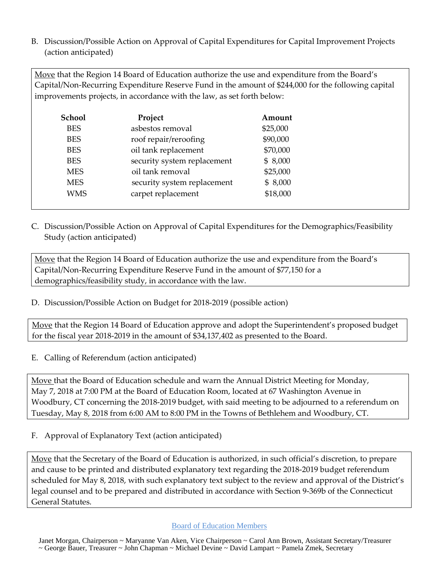B. Discussion/Possible Action on Approval of Capital Expenditures for Capital Improvement Projects (action anticipated)

Move that the Region 14 Board of Education authorize the use and expenditure from the Board's Capital/Non-Recurring Expenditure Reserve Fund in the amount of \$244,000 for the following capital improvements projects, in accordance with the law, as set forth below:

| Project                     | Amount   |
|-----------------------------|----------|
| asbestos removal            | \$25,000 |
| roof repair/reroofing       | \$90,000 |
| oil tank replacement        | \$70,000 |
| security system replacement | \$8,000  |
| oil tank removal            | \$25,000 |
| security system replacement | \$8,000  |
| carpet replacement          | \$18,000 |
|                             |          |

C. Discussion/Possible Action on Approval of Capital Expenditures for the Demographics/Feasibility Study (action anticipated)

Move that the Region 14 Board of Education authorize the use and expenditure from the Board's Capital/Non-Recurring Expenditure Reserve Fund in the amount of \$77,150 for a demographics/feasibility study, in accordance with the law.

D. Discussion/Possible Action on Budget for 2018-2019 (possible action)

Move that the Region 14 Board of Education approve and adopt the Superintendent's proposed budget for the fiscal year 2018-2019 in the amount of \$34,137,402 as presented to the Board.

E. Calling of Referendum (action anticipated)

Move that the Board of Education schedule and warn the Annual District Meeting for Monday, May 7, 2018 at 7:00 PM at the Board of Education Room, located at 67 Washington Avenue in Woodbury, CT concerning the 2018-2019 budget, with said meeting to be adjourned to a referendum on Tuesday, May 8, 2018 from 6:00 AM to 8:00 PM in the Towns of Bethlehem and Woodbury, CT.

F. Approval of Explanatory Text (action anticipated)

Move that the Secretary of the Board of Education is authorized, in such official's discretion, to prepare and cause to be printed and distributed explanatory text regarding the 2018-2019 budget referendum scheduled for May 8, 2018, with such explanatory text subject to the review and approval of the District's legal counsel and to be prepared and distributed in accordance with Section 9-369b of the Connecticut General Statutes.

## Board of Education Members